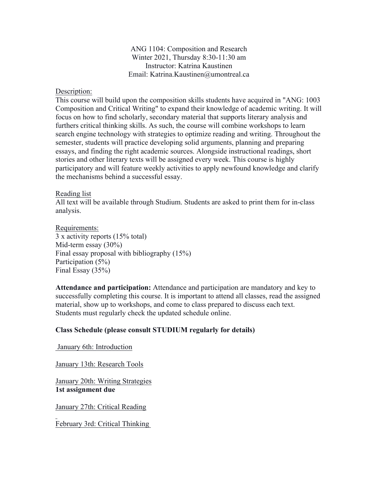ANG 1104: Composition and Research Winter 2021, Thursday 8:30-11:30 am Instructor: Katrina Kaustinen Email: Katrina.Kaustinen@umontreal.ca

## Description:

This course will build upon the composition skills students have acquired in "ANG: 1003 Composition and Critical Writing" to expand their knowledge of academic writing. It will focus on how to find scholarly, secondary material that supports literary analysis and furthers critical thinking skills. As such, the course will combine workshops to learn search engine technology with strategies to optimize reading and writing. Throughout the semester, students will practice developing solid arguments, planning and preparing essays, and finding the right academic sources. Alongside instructional readings, short stories and other literary texts will be assigned every week. This course is highly participatory and will feature weekly activities to apply newfound knowledge and clarify the mechanisms behind a successful essay.

## Reading list

All text will be available through Studium. Students are asked to print them for in-class analysis.

Requirements: 3 x activity reports (15% total) Mid-term essay (30%) Final essay proposal with bibliography (15%) Participation (5%) Final Essay (35%)

**Attendance and participation:** Attendance and participation are mandatory and key to successfully completing this course. It is important to attend all classes, read the assigned material, show up to workshops, and come to class prepared to discuss each text. Students must regularly check the updated schedule online.

## **Class Schedule (please consult STUDIUM regularly for details)**

January 6th: Introduction

January 13th: Research Tools

January 20th: Writing Strategies **1st assignment due**

January 27th: Critical Reading

February 3rd: Critical Thinking